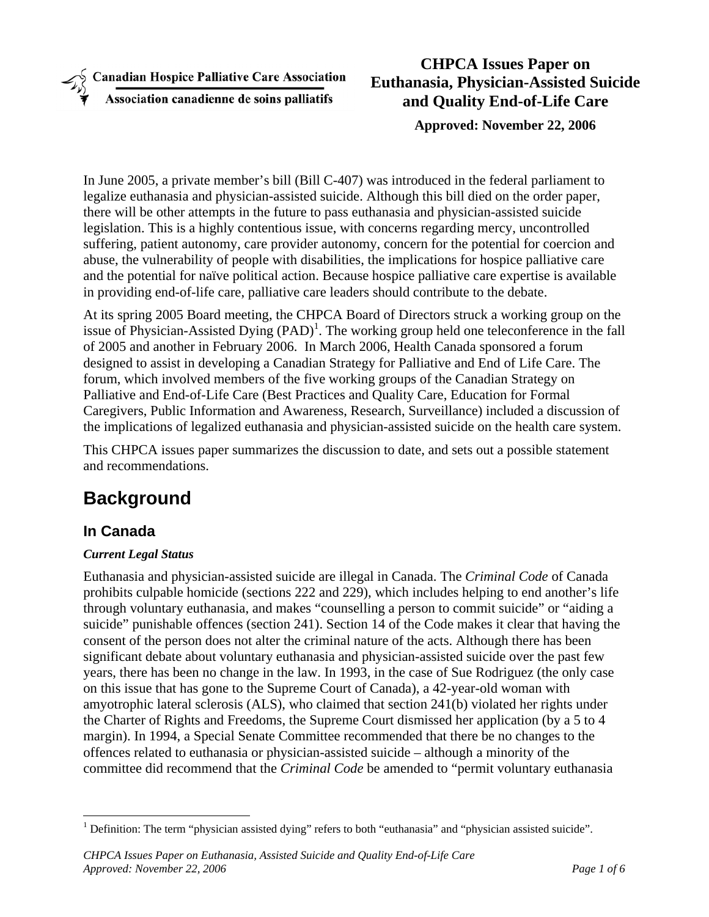**Canadian Hospice Palliative Care Association** 

Association canadienne de soins palliatifs

### **CHPCA Issues Paper on Euthanasia, Physician-Assisted Suicide and Quality End-of-Life Care Approved: November 22, 2006**

In June 2005, a private member's bill (Bill C-407) was introduced in the federal parliament to legalize euthanasia and physician-assisted suicide. Although this bill died on the order paper, there will be other attempts in the future to pass euthanasia and physician-assisted suicide legislation. This is a highly contentious issue, with concerns regarding mercy, uncontrolled suffering, patient autonomy, care provider autonomy, concern for the potential for coercion and abuse, the vulnerability of people with disabilities, the implications for hospice palliative care and the potential for naïve political action. Because hospice palliative care expertise is available in providing end-of-life care, palliative care leaders should contribute to the debate.

At its spring 2005 Board meeting, the CHPCA Board of Directors struck a working group on the issue of Physician-Assisted Dying  $(PAD)^1$ . The working group held one teleconference in the fall of 2005 and another in February 2006. In March 2006, Health Canada sponsored a forum designed to assist in developing a Canadian Strategy for Palliative and End of Life Care. The forum, which involved members of the five working groups of the Canadian Strategy on Palliative and End-of-Life Care (Best Practices and Quality Care, Education for Formal Caregivers, Public Information and Awareness, Research, Surveillance) included a discussion of the implications of legalized euthanasia and physician-assisted suicide on the health care system.

This CHPCA issues paper summarizes the discussion to date, and sets out a possible statement and recommendations.

# **Background**

### **In Canada**

 $\overline{a}$ 

#### *Current Legal Status*

Euthanasia and physician-assisted suicide are illegal in Canada. The *Criminal Code* of Canada prohibits culpable homicide (sections 222 and 229), which includes helping to end another's life through voluntary euthanasia, and makes "counselling a person to commit suicide" or "aiding a suicide" punishable offences (section 241). Section 14 of the Code makes it clear that having the consent of the person does not alter the criminal nature of the acts. Although there has been significant debate about voluntary euthanasia and physician-assisted suicide over the past few years, there has been no change in the law. In 1993, in the case of Sue Rodriguez (the only case on this issue that has gone to the Supreme Court of Canada), a 42-year-old woman with amyotrophic lateral sclerosis (ALS), who claimed that section 241(b) violated her rights under the Charter of Rights and Freedoms, the Supreme Court dismissed her application (by a 5 to 4 margin). In 1994, a Special Senate Committee recommended that there be no changes to the offences related to euthanasia or physician-assisted suicide – although a minority of the committee did recommend that the *Criminal Code* be amended to "permit voluntary euthanasia

<sup>&</sup>lt;sup>1</sup> Definition: The term "physician assisted dying" refers to both "euthanasia" and "physician assisted suicide".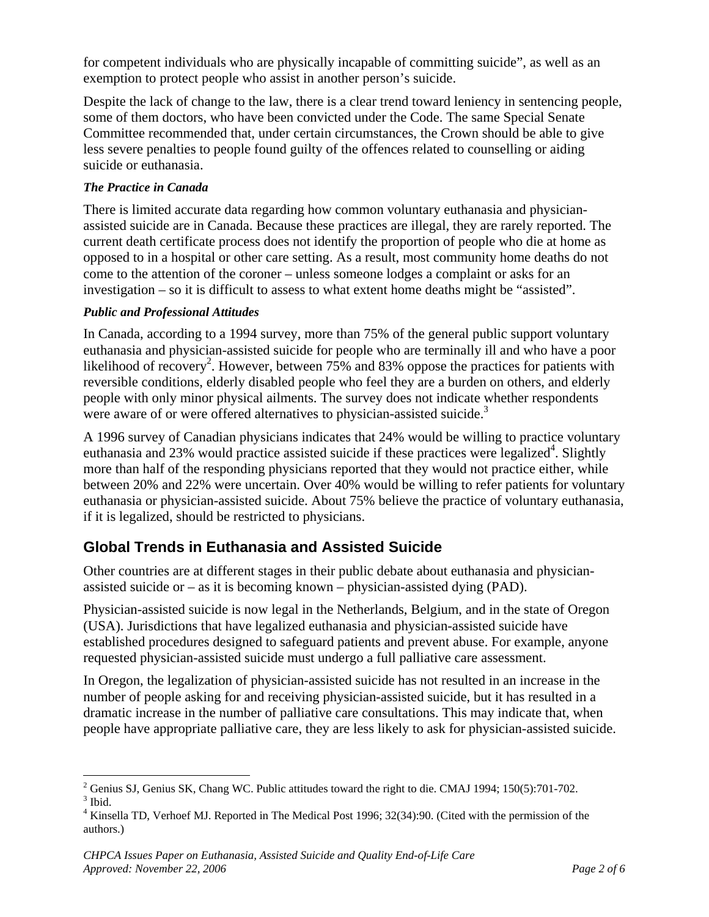for competent individuals who are physically incapable of committing suicide", as well as an exemption to protect people who assist in another person's suicide.

Despite the lack of change to the law, there is a clear trend toward leniency in sentencing people, some of them doctors, who have been convicted under the Code. The same Special Senate Committee recommended that, under certain circumstances, the Crown should be able to give less severe penalties to people found guilty of the offences related to counselling or aiding suicide or euthanasia.

#### *The Practice in Canada*

There is limited accurate data regarding how common voluntary euthanasia and physicianassisted suicide are in Canada. Because these practices are illegal, they are rarely reported. The current death certificate process does not identify the proportion of people who die at home as opposed to in a hospital or other care setting. As a result, most community home deaths do not come to the attention of the coroner – unless someone lodges a complaint or asks for an investigation – so it is difficult to assess to what extent home deaths might be "assisted".

#### *Public and Professional Attitudes*

In Canada, according to a 1994 survey, more than 75% of the general public support voluntary euthanasia and physician-assisted suicide for people who are terminally ill and who have a poor likelihood of recovery<sup>2</sup>. However, between  $75\%$  and 83% oppose the practices for patients with reversible conditions, elderly disabled people who feel they are a burden on others, and elderly people with only minor physical ailments. The survey does not indicate whether respondents were aware of or were offered alternatives to physician-assisted suicide.<sup>3</sup>

A 1996 survey of Canadian physicians indicates that 24% would be willing to practice voluntary euthanasia and 23% would practice assisted suicide if these practices were legalized<sup>4</sup>. Slightly more than half of the responding physicians reported that they would not practice either, while between 20% and 22% were uncertain. Over 40% would be willing to refer patients for voluntary euthanasia or physician-assisted suicide. About 75% believe the practice of voluntary euthanasia, if it is legalized, should be restricted to physicians.

### **Global Trends in Euthanasia and Assisted Suicide**

Other countries are at different stages in their public debate about euthanasia and physicianassisted suicide or – as it is becoming known – physician-assisted dying (PAD).

Physician-assisted suicide is now legal in the Netherlands, Belgium, and in the state of Oregon (USA). Jurisdictions that have legalized euthanasia and physician-assisted suicide have established procedures designed to safeguard patients and prevent abuse. For example, anyone requested physician-assisted suicide must undergo a full palliative care assessment.

In Oregon, the legalization of physician-assisted suicide has not resulted in an increase in the number of people asking for and receiving physician-assisted suicide, but it has resulted in a dramatic increase in the number of palliative care consultations. This may indicate that, when people have appropriate palliative care, they are less likely to ask for physician-assisted suicide.

 $\overline{a}$ <sup>2</sup> Genius SJ, Genius SK, Chang WC. Public attitudes toward the right to die. CMAJ 1994; 150(5):701-702.  $3$  Ibid.

<sup>&</sup>lt;sup>4</sup> Kinsella TD, Verhoef MJ. Reported in The Medical Post 1996; 32(34):90. (Cited with the permission of the authors.)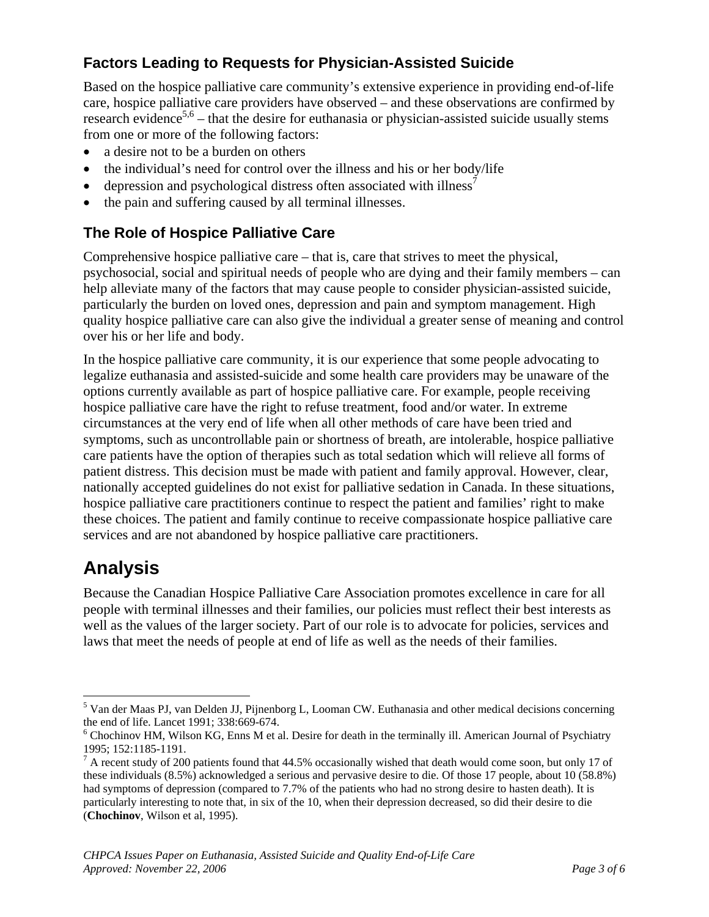### **Factors Leading to Requests for Physician-Assisted Suicide**

Based on the hospice palliative care community's extensive experience in providing end-of-life care, hospice palliative care providers have observed – and these observations are confirmed by research evidence<sup>5,6</sup> – that the desire for euthanasia or physician-assisted suicide usually stems from one or more of the following factors:

- a desire not to be a burden on others
- the individual's need for control over the illness and his or her body/life
- depression and psychological distress often associated with illness<sup>7</sup>
- the pain and suffering caused by all terminal illnesses.

#### **The Role of Hospice Palliative Care**

Comprehensive hospice palliative care – that is, care that strives to meet the physical, psychosocial, social and spiritual needs of people who are dying and their family members – can help alleviate many of the factors that may cause people to consider physician-assisted suicide, particularly the burden on loved ones, depression and pain and symptom management. High quality hospice palliative care can also give the individual a greater sense of meaning and control over his or her life and body.

In the hospice palliative care community, it is our experience that some people advocating to legalize euthanasia and assisted-suicide and some health care providers may be unaware of the options currently available as part of hospice palliative care. For example, people receiving hospice palliative care have the right to refuse treatment, food and/or water. In extreme circumstances at the very end of life when all other methods of care have been tried and symptoms, such as uncontrollable pain or shortness of breath, are intolerable, hospice palliative care patients have the option of therapies such as total sedation which will relieve all forms of patient distress. This decision must be made with patient and family approval. However, clear, nationally accepted guidelines do not exist for palliative sedation in Canada. In these situations, hospice palliative care practitioners continue to respect the patient and families' right to make these choices. The patient and family continue to receive compassionate hospice palliative care services and are not abandoned by hospice palliative care practitioners.

# **Analysis**

 $\overline{a}$ 

Because the Canadian Hospice Palliative Care Association promotes excellence in care for all people with terminal illnesses and their families, our policies must reflect their best interests as well as the values of the larger society. Part of our role is to advocate for policies, services and laws that meet the needs of people at end of life as well as the needs of their families.

<sup>&</sup>lt;sup>5</sup> Van der Maas PJ, van Delden JJ, Pijnenborg L, Looman CW. Euthanasia and other medical decisions concerning the end of life. Lancet 1991; 338:669-674.

<sup>&</sup>lt;sup>6</sup> Chochinov HM, Wilson KG, Enns M et al. Desire for death in the terminally ill. American Journal of Psychiatry 1995; 152:1185-1191.

 $<sup>7</sup>$  A recent study of 200 patients found that 44.5% occasionally wished that death would come soon, but only 17 of</sup> these individuals (8.5%) acknowledged a serious and pervasive desire to die. Of those 17 people, about 10 (58.8%) had symptoms of depression (compared to 7.7% of the patients who had no strong desire to hasten death). It is particularly interesting to note that, in six of the 10, when their depression decreased, so did their desire to die (**Chochinov**, Wilson et al, 1995).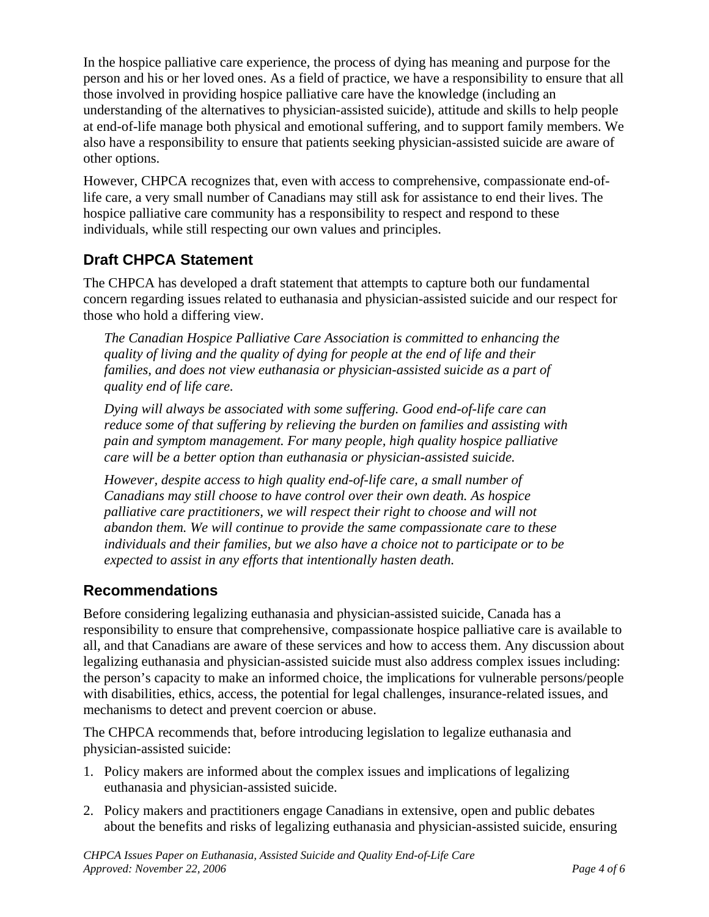In the hospice palliative care experience, the process of dying has meaning and purpose for the person and his or her loved ones. As a field of practice, we have a responsibility to ensure that all those involved in providing hospice palliative care have the knowledge (including an understanding of the alternatives to physician-assisted suicide), attitude and skills to help people at end-of-life manage both physical and emotional suffering, and to support family members. We also have a responsibility to ensure that patients seeking physician-assisted suicide are aware of other options.

However, CHPCA recognizes that, even with access to comprehensive, compassionate end-oflife care, a very small number of Canadians may still ask for assistance to end their lives. The hospice palliative care community has a responsibility to respect and respond to these individuals, while still respecting our own values and principles.

### **Draft CHPCA Statement**

The CHPCA has developed a draft statement that attempts to capture both our fundamental concern regarding issues related to euthanasia and physician-assisted suicide and our respect for those who hold a differing view.

*The Canadian Hospice Palliative Care Association is committed to enhancing the quality of living and the quality of dying for people at the end of life and their families, and does not view euthanasia or physician-assisted suicide as a part of quality end of life care.* 

*Dying will always be associated with some suffering. Good end-of-life care can reduce some of that suffering by relieving the burden on families and assisting with pain and symptom management. For many people, high quality hospice palliative care will be a better option than euthanasia or physician-assisted suicide.* 

*However, despite access to high quality end-of-life care, a small number of Canadians may still choose to have control over their own death. As hospice*  palliative care practitioners, we will respect their right to choose and will not *abandon them. We will continue to provide the same compassionate care to these individuals and their families, but we also have a choice not to participate or to be expected to assist in any efforts that intentionally hasten death.* 

#### **Recommendations**

Before considering legalizing euthanasia and physician-assisted suicide, Canada has a responsibility to ensure that comprehensive, compassionate hospice palliative care is available to all, and that Canadians are aware of these services and how to access them. Any discussion about legalizing euthanasia and physician-assisted suicide must also address complex issues including: the person's capacity to make an informed choice, the implications for vulnerable persons/people with disabilities, ethics, access, the potential for legal challenges, insurance-related issues, and mechanisms to detect and prevent coercion or abuse.

The CHPCA recommends that, before introducing legislation to legalize euthanasia and physician-assisted suicide:

- 1. Policy makers are informed about the complex issues and implications of legalizing euthanasia and physician-assisted suicide.
- 2. Policy makers and practitioners engage Canadians in extensive, open and public debates about the benefits and risks of legalizing euthanasia and physician-assisted suicide, ensuring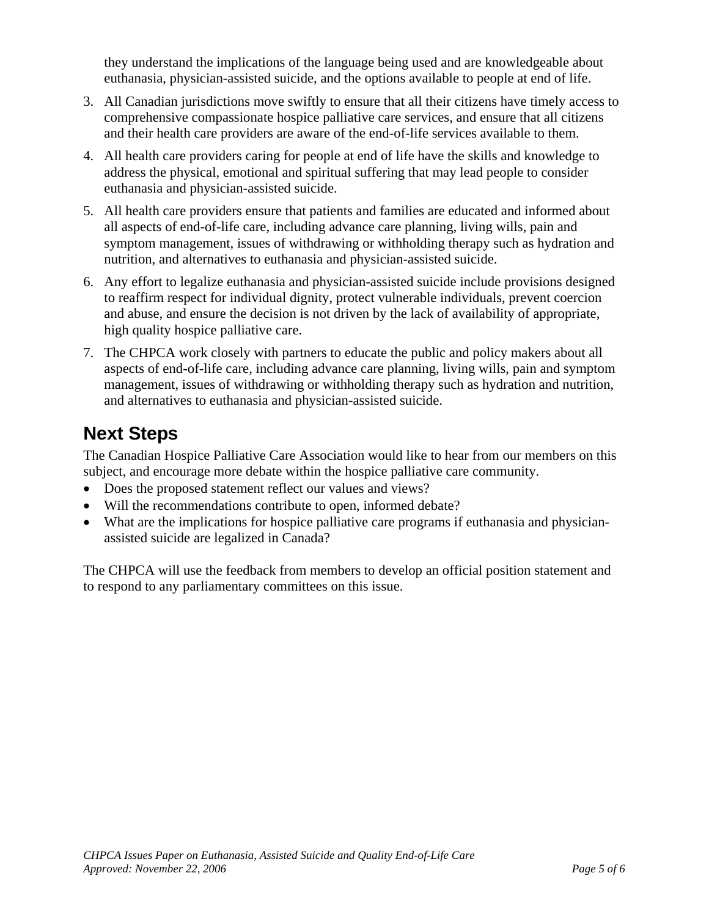they understand the implications of the language being used and are knowledgeable about euthanasia, physician-assisted suicide, and the options available to people at end of life.

- 3. All Canadian jurisdictions move swiftly to ensure that all their citizens have timely access to comprehensive compassionate hospice palliative care services, and ensure that all citizens and their health care providers are aware of the end-of-life services available to them.
- 4. All health care providers caring for people at end of life have the skills and knowledge to address the physical, emotional and spiritual suffering that may lead people to consider euthanasia and physician-assisted suicide.
- 5. All health care providers ensure that patients and families are educated and informed about all aspects of end-of-life care, including advance care planning, living wills, pain and symptom management, issues of withdrawing or withholding therapy such as hydration and nutrition, and alternatives to euthanasia and physician-assisted suicide.
- 6. Any effort to legalize euthanasia and physician-assisted suicide include provisions designed to reaffirm respect for individual dignity, protect vulnerable individuals, prevent coercion and abuse, and ensure the decision is not driven by the lack of availability of appropriate, high quality hospice palliative care.
- 7. The CHPCA work closely with partners to educate the public and policy makers about all aspects of end-of-life care, including advance care planning, living wills, pain and symptom management, issues of withdrawing or withholding therapy such as hydration and nutrition, and alternatives to euthanasia and physician-assisted suicide.

## **Next Steps**

The Canadian Hospice Palliative Care Association would like to hear from our members on this subject, and encourage more debate within the hospice palliative care community.

- Does the proposed statement reflect our values and views?
- Will the recommendations contribute to open, informed debate?
- What are the implications for hospice palliative care programs if euthanasia and physicianassisted suicide are legalized in Canada?

The CHPCA will use the feedback from members to develop an official position statement and to respond to any parliamentary committees on this issue.